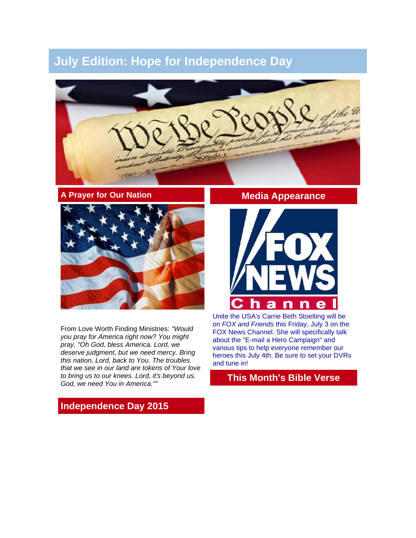# **July Edition: Hope for Independence Day**



#### **A Prayer for Our Nation**



From Love Worth Finding Ministries: *"Would you pray for America right now? You might pray, "Oh God, bless America. Lord, we deserve judgment, but we need mercy. Bring this nation, Lord, back to You. The troubles that we see in our land are tokens of Your love to bring us to our knees. Lord, it's beyond us. God, we need You in America.""*

## **Media Appearance**



Unite the USA's Carrie Beth Stoelting will be on *FOX and Friends* this Friday, July 3 on the FOX News Channel. She will specifically talk about the "E-mail a Hero Campaign" and various tips to help everyone remember our heroes this July 4th. Be sure to set your DVRs and tune in!

## **This Month's Bible Verse**

## **Independence Day 2015**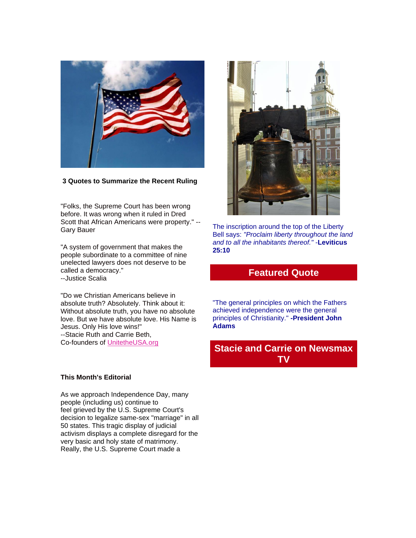

#### **3 Quotes to Summarize the Recent Ruling**

"Folks, the Supreme Court has been wrong before. It was wrong when it ruled in Dred Scott that African Americans were property." -- Gary Bauer

"A system of government that makes the people subordinate to a committee of nine unelected lawyers does not deserve to be called a democracy." --Justice Scalia

"Do we Christian Americans believe in absolute truth? Absolutely. Think about it: Without absolute truth, you have no absolute love. But we have absolute love. His Name is Jesus. Only His love wins!" --Stacie Ruth and Carrie Beth, Co-founders of [UnitetheUSA.org](http://unitetheusa.org/index.html)

#### **This Month's Editorial**

As we approach Independence Day, many people (including us) continue to feel grieved by the U.S. Supreme Court's decision to legalize same-sex "marriage" in all 50 states. This tragic display of judicial activism displays a complete disregard for the very basic and holy state of matrimony. Really, the U.S. Supreme Court made a



The inscription around the top of the Liberty Bell says: *"Proclaim liberty throughout the land and to all the inhabitants thereof."* -**Leviticus 25:10**

### **Featured Quote**

"The general principles on which the Fathers achieved independence were the general principles of Christianity." **-President John Adams**

## **Stacie and Carrie on Newsmax TV**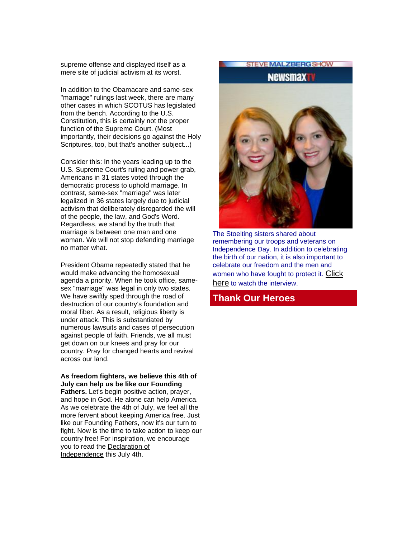supreme offense and displayed itself as a mere site of judicial activism at its worst.

In addition to the Obamacare and same-sex "marriage" rulings last week, there are many other cases in which SCOTUS has legislated from the bench. According to the U.S. Constitution, this is certainly not the proper function of the Supreme Court. (Most importantly, their decisions go against the Holy Scriptures, too, but that's another subject...)

Consider this: In the years leading up to the U.S. Supreme Court's ruling and power grab, Americans in 31 states voted through the democratic process to uphold marriage. In contrast, same-sex "marriage" was later legalized in 36 states largely due to judicial activism that deliberately disregarded the will of the people, the law, and God's Word. Regardless, we stand by the truth that marriage is between one man and one woman. We will not stop defending marriage no matter what.

President Obama repeatedly stated that he would make advancing the homosexual agenda a priority. When he took office, samesex "marriage" was legal in only two states. We have swiftly sped through the road of destruction of our country's foundation and moral fiber. As a result, religious liberty is under attack. This is substantiated by numerous lawsuits and cases of persecution against people of faith. Friends, we all must get down on our knees and pray for our country. Pray for changed hearts and revival across our land.

#### **As freedom fighters, we believe this 4th of July can help us be like our Founding**

**Fathers.** Let's begin positive action, prayer, and hope in God. He alone can help America. As we celebrate the 4th of July, we feel all the more fervent about keeping America free. Just like our Founding Fathers, now it's our turn to fight. Now is the time to take action to keep our country free! For inspiration, we encourage you to read the [Declaration of](http://www.wallbuilders.com/LIBissuesArticles.asp?id=25685)  [Independence](http://www.wallbuilders.com/LIBissuesArticles.asp?id=25685) this July 4th.

Newsmay

**STEVE MALZBERGSHOW** 

The Stoelting sisters shared about remembering our troops and veterans on Independence Day. In addition to celebrating the birth of our nation, it is also important to celebrate our freedom and the men and women who have fought to protect it. [Click](http://www.newsmax.com/Newsmax-Tv/Stoelting-Stacie-Ruth-Carrie-Beth-military/2015/07/01/id/653130/)  [here](http://www.newsmax.com/Newsmax-Tv/Stoelting-Stacie-Ruth-Carrie-Beth-military/2015/07/01/id/653130/) to watch the interview.

### **Thank Our Heroes**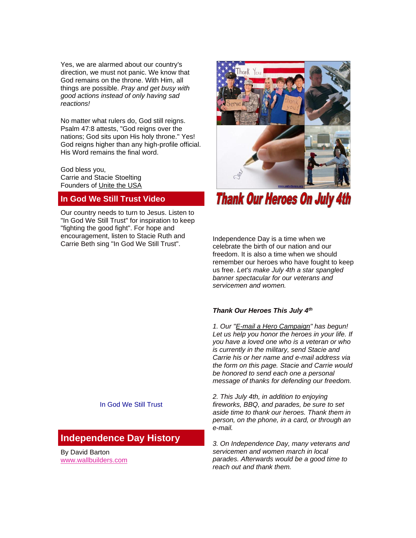Yes, we are alarmed about our country's direction, we must not panic. We know that God remains on the throne. With Him, all things are possible. *Pray and get busy with good actions instead of only having sad reactions!*

No matter what rulers do, God still reigns. Psalm 47:8 attests, "God reigns over the nations; God sits upon His holy throne." Yes! God reigns higher than any high-profile official. His Word remains the final word.

God bless you, Carrie and Stacie Stoelting Founders of [Unite the USA](http://unitetheusa.org/index.html)

### **In God We Still Trust Video**

Our country needs to turn to Jesus. Listen to "In God We Still Trust" for inspiration to keep "fighting the good fight". For hope and encouragement, listen to Stacie Ruth and Carrie Beth sing "In God We Still Trust".



**Thank Our Heroes On July 4th** 

Independence Day is a time when we celebrate the birth of our nation and our freedom. It is also a time when we should remember our heroes who have fought to keep us free. *Let's make July 4th a star spangled banner spectacular for our veterans and servicemen and women.*

#### *Thank Our Heroes This July 4th*

*1. Our ["E-mail a Hero Campaign"](http://unitetheusa.org/id135.html) has begun! Let us help you honor the heroes in your life. If you have a loved one who is a veteran or who is currently in the military, send Stacie and Carrie his or her name and e-mail address via the form on this page. Stacie and Carrie would be honored to send each one a personal message of thanks for defending our freedom.*

*2. This July 4th, in addition to enjoying fireworks, BBQ, and parades, be sure to set aside time to thank our heroes. Thank them in person, on the phone, in a card, or through an e-mail.*

*3. On Independence Day, many veterans and servicemen and women march in local parades. Afterwards would be a good time to reach out and thank them.*

In God We Still Trust

## **Independence Day History**

By David Barton [www.wallbuilders.com](http://r20.rs6.net/tn.jsp?e=001sKo5x_dfpp-w-76m2L6AmiINn-PeIHnGvjIw8-FXPqsOnHrc0MXaY78dYS0DE-EOGBut-t_FpLdbTtNXZnt_7CCH36bINN5lsvBrbQQfTD0=)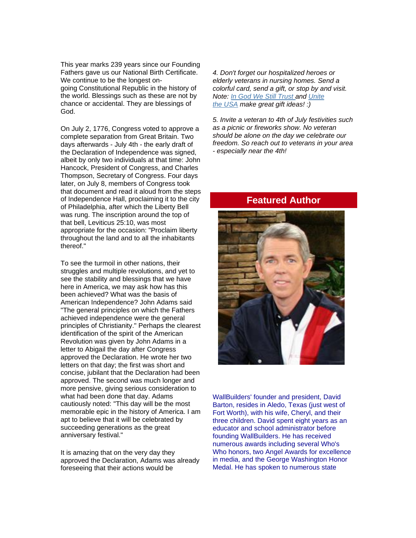This year marks 239 years since our Founding Fathers gave us our National Birth Certificate. We continue to be the longest ongoing Constitutional Republic in the history of the world. Blessings such as these are not by chance or accidental. They are blessings of God.

On July 2, 1776, Congress voted to approve a complete separation from Great Britain. Two days afterwards - July 4th - the early draft of the Declaration of Independence was signed, albeit by only two individuals at that time: John Hancock, President of Congress, and Charles Thompson, Secretary of Congress. Four days later, on July 8, members of Congress took that document and read it aloud from the steps of Independence Hall, proclaiming it to the city of Philadelphia, after which the Liberty Bell was rung. The inscription around the top of that bell, Leviticus 25:10, was most appropriate for the occasion: "Proclaim liberty throughout the land and to all the inhabitants thereof."

To see the turmoil in other nations, their struggles and multiple revolutions, and yet to see the stability and blessings that we have here in America, we may ask how has this been achieved? What was the basis of American Independence? John Adams said "The general principles on which the Fathers achieved independence were the general principles of Christianity." Perhaps the clearest identification of the spirit of the American Revolution was given by John Adams in a letter to Abigail the day after Congress approved the Declaration. He wrote her two letters on that day; the first was short and concise, jubilant that the Declaration had been approved. The second was much longer and more pensive, giving serious consideration to what had been done that day. Adams cautiously noted: "This day will be the most memorable epic in the history of America. I am apt to believe that it will be celebrated by succeeding generations as the great anniversary festival."

It is amazing that on the very day they approved the Declaration, Adams was already foreseeing that their actions would be

*4. Don't forget our hospitalized heroes or elderly veterans in nursing homes. Send a colorful card, send a gift, or stop by and visit. Note: [In God We Still Trust](http://unitetheusa.org/id56.html) and [Unite](http://unitetheusa.org/id56.html)  the [USA](http://unitetheusa.org/id56.html) make great gift ideas! :)*

*5. Invite a veteran to 4th of July festivities such as a picnic or fireworks show. No veteran should be alone on the day we celebrate our freedom. So reach out to veterans in your area - especially near the 4th!*

#### **Featured Author**



WallBuilders' founder and president, David Barton, resides in Aledo, Texas (just west of Fort Worth), with his wife, Cheryl, and their three children. David spent eight years as an educator and school administrator before founding WallBuilders. He has received numerous awards including several Who's Who honors, two Angel Awards for excellence in media, and the George Washington Honor Medal. He has spoken to numerous state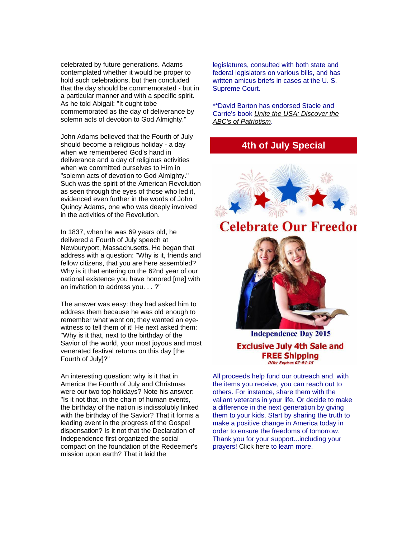celebrated by future generations. Adams contemplated whether it would be proper to hold such celebrations, but then concluded that the day should be commemorated - but in a particular manner and with a specific spirit. As he told Abigail: "It ought tobe commemorated as the day of deliverance by solemn acts of devotion to God Almighty."

John Adams believed that the Fourth of July should become a religious holiday - a day when we remembered God's hand in deliverance and a day of religious activities when we committed ourselves to Him in "solemn acts of devotion to God Almighty." Such was the spirit of the American Revolution as seen through the eyes of those who led it, evidenced even further in the words of John Quincy Adams, one who was deeply involved in the activities of the Revolution.

In 1837, when he was 69 years old, he delivered a Fourth of July speech at Newburyport, Massachusetts. He began that address with a question: "Why is it, friends and fellow citizens, that you are here assembled? Why is it that entering on the 62nd year of our national existence you have honored [me] with an invitation to address you. . . ?"

The answer was easy: they had asked him to address them because he was old enough to remember what went on; they wanted an eyewitness to tell them of it! He next asked them: "Why is it that, next to the birthday of the Savior of the world, your most joyous and most venerated festival returns on this day [the Fourth of July]?"

An interesting question: why is it that in America the Fourth of July and Christmas were our two top holidays? Note his answer: "Is it not that, in the chain of human events, the birthday of the nation is indissolubly linked with the birthday of the Savior? That it forms a leading event in the progress of the Gospel dispensation? Is it not that the Declaration of Independence first organized the social compact on the foundation of the Redeemer's mission upon earth? That it laid the

legislatures, consulted with both state and federal legislators on various bills, and has written amicus briefs in cases at the U. S. Supreme Court.

\*\*David Barton has endorsed Stacie and Carrie's book *[Unite the USA: Discover the](http://unitetheusa.org/id56.html)  [ABC's of Patriotism](http://unitetheusa.org/id56.html)*.

## **4th of July Special**



**Celebrate Our Freedor** 



**Independence Day 2015 Exclusive July 4th Sale and FREE Shipping** Offer Expires 07-04-15

All proceeds help fund our outreach and, with the items you receive, you can reach out to others. For instance, share them with the valiant veterans in your life. Or decide to make a difference in the next generation by giving them to your kids. Start by sharing the truth to make a positive change in America today in order to ensure the freedoms of tomorrow. Thank you for your support...including your prayers! [Click here](http://unitetheusa.org/id134.html) to learn more.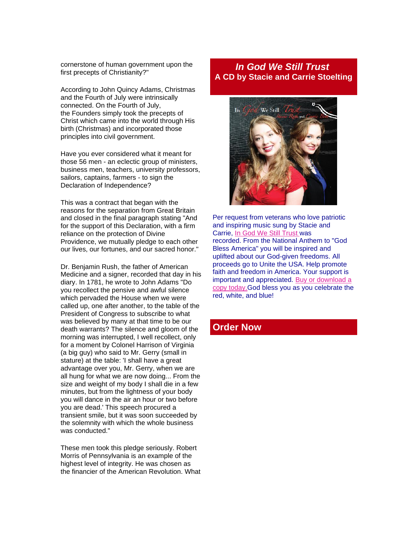cornerstone of human government upon the first precepts of Christianity?"

According to John Quincy Adams, Christmas and the Fourth of July were intrinsically connected. On the Fourth of July, the Founders simply took the precepts of Christ which came into the world through His birth (Christmas) and incorporated those principles into civil government.

Have you ever considered what it meant for those 56 men - an eclectic group of ministers, business men, teachers, university professors, sailors, captains, farmers - to sign the Declaration of Independence?

This was a contract that began with the reasons for the separation from Great Britain and closed in the final paragraph stating "And for the support of this Declaration, with a firm reliance on the protection of Divine Providence, we mutually pledge to each other our lives, our fortunes, and our sacred honor."

Dr. Benjamin Rush, the father of American Medicine and a signer, recorded that day in his diary. In 1781, he wrote to John Adams "Do you recollect the pensive and awful silence which pervaded the House when we were called up, one after another, to the table of the President of Congress to subscribe to what was believed by many at that time to be our death warrants? The silence and gloom of the morning was interrupted, I well recollect, only for a moment by Colonel Harrison of Virginia (a big guy) who said to Mr. Gerry (small in stature) at the table: 'I shall have a great advantage over you, Mr. Gerry, when we are all hung for what we are now doing... From the size and weight of my body I shall die in a few minutes, but from the lightness of your body you will dance in the air an hour or two before you are dead.' This speech procured a transient smile, but it was soon succeeded by the solemnity with which the whole business was conducted."

These men took this pledge seriously. Robert Morris of Pennsylvania is an example of the highest level of integrity. He was chosen as the financier of the American Revolution. What

## *In God We Still Trust* **A CD by Stacie and Carrie Stoelting**



Per request from veterans who love patriotic and inspiring music sung by Stacie and Carrie, [In God We Still Trust](http://unitetheusa.org/id56.html) was recorded. From the National Anthem to "God Bless America" you will be inspired and uplifted about our God-given freedoms. All proceeds go to Unite the USA. Help promote faith and freedom in America. Your support is important and appreciated. [Buy or download a](http://unitetheusa.org/id56.html)  [copy today.G](http://unitetheusa.org/id56.html)od bless you as you celebrate the red, white, and blue!

### **Order Now**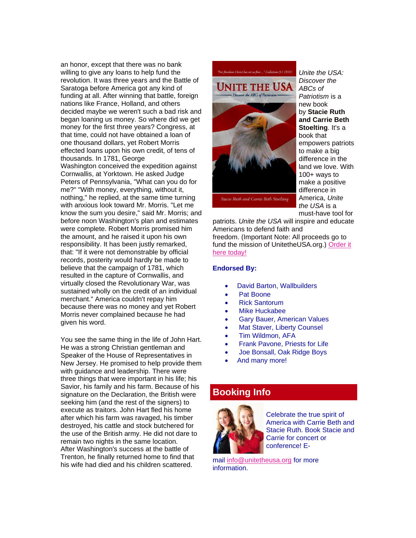an honor, except that there was no bank willing to give any loans to help fund the revolution. It was three years and the Battle of Saratoga before America got any kind of funding at all. After winning that battle, foreign nations like France, Holland, and others decided maybe we weren't such a bad risk and began loaning us money. So where did we get money for the first three years? Congress, at that time, could not have obtained a loan of one thousand dollars, yet Robert Morris effected loans upon his own credit, of tens of thousands. In 1781, George Washington conceived the expedition against Cornwallis, at Yorktown. He asked Judge Peters of Pennsylvania, "What can you do for me?" "With money, everything, without it, nothing," he replied, at the same time turning with anxious look toward Mr. Morris. "Let me know the sum you desire," said Mr. Morris; and before noon Washington's plan and estimates were complete. Robert Morris promised him the amount, and he raised it upon his own responsibility. It has been justly remarked, that: "If it were not demonstrable by official records, posterity would hardly be made to believe that the campaign of 1781, which resulted in the capture of Cornwallis, and virtually closed the Revolutionary War, was sustained wholly on the credit of an individual merchant." America couldn't repay him because there was no money and yet Robert Morris never complained because he had given his word.

You see the same thing in the life of John Hart. He was a strong Christian gentleman and Speaker of the House of Representatives in New Jersey. He promised to help provide them with guidance and leadership. There were three things that were important in his life; his Savior, his family and his farm. Because of his signature on the Declaration, the British were seeking him (and the rest of the signers) to execute as traitors. John Hart fled his home after which his farm was ravaged, his timber destroyed, his cattle and stock butchered for the use of the British army. He did not dare to remain two nights in the same location. After Washington's success at the battle of Trenton, he finally returned home to find that his wife had died and his children scattered.





*Unite the USA: Discover the ABCs of Patriotism* is a new book by **Stacie Ruth and Carrie Beth Stoelting**. It's a book that empowers patriots to make a big difference in the land we love. With 100+ ways to make a positive difference in America, *Unite the USA* is a must-have tool for

patriots. *Unite the USA* will inspire and educate Americans to defend faith and freedom. (Important Note: All proceeds go to fund the mission of UnitetheUSA.org.) [Order it](http://unitetheusa.org/id56.html)  [here today!](http://unitetheusa.org/id56.html)

#### **Endorsed By:**

- David Barton, Wallbuilders
- Pat Boone
- Rick Santorum
- **Mike Huckabee**
- Gary Bauer, American Values
- Mat Staver, Liberty Counsel
- Tim Wildmon, AFA
- Frank Pavone, Priests for Life
- Joe Bonsall, Oak Ridge Boys
- And many more!

### **Booking Info**



Celebrate the true spirit of America with Carrie Beth and Stacie Ruth. Book Stacie and Carrie for concert or conference! E-

mail [info@unitetheusa.org](mailto:info@unitetheusa.org) for more information.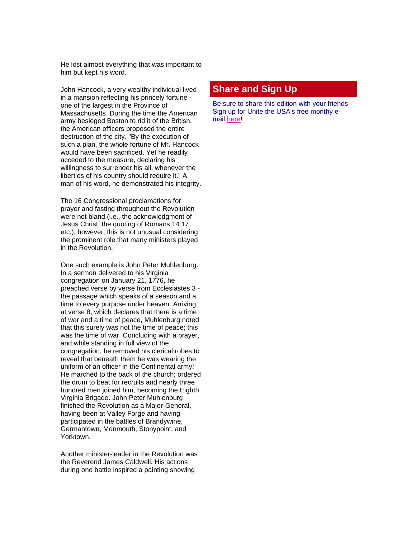He lost almost everything that was important to him but kept his word.

John Hancock, a very wealthy individual lived in a mansion reflecting his princely fortune one of the largest in the Province of Massachusetts. During the time the American army besieged Boston to rid it of the British, the American officers proposed the entire destruction of the city. "By the execution of such a plan, the whole fortune of Mr. Hancock would have been sacrificed. Yet he readily acceded to the measure, declaring his willingness to surrender his all, whenever the liberties of his country should require it." A man of his word, he demonstrated his integrity.

The 16 Congressional proclamations for prayer and fasting throughout the Revolution were not bland (i.e., the acknowledgment of Jesus Christ, the quoting of Romans 14:17, etc.); however, this is not unusual considering the prominent role that many ministers played in the Revolution.

One such example is John Peter Muhlenburg. In a sermon delivered to his Virginia congregation on January 21, 1776, he preached verse by verse from Ecclesiastes 3 the passage which speaks of a season and a time to every purpose under heaven. Arriving at verse 8, which declares that there is a time of war and a time of peace, Muhlenburg noted that this surely was not the time of peace; this was the time of war. Concluding with a prayer, and while standing in full view of the congregation, he removed his clerical robes to reveal that beneath them he was wearing the uniform of an officer in the Continental army! He marched to the back of the church; ordered the drum to beat for recruits and nearly three hundred men joined him, becoming the Eighth Virginia Brigade. John Peter Muhlenburg finished the Revolution as a Major-General, having been at Valley Forge and having participated in the battles of Brandywine, Germantown, Monmouth, Stonypoint, and Yorktown.

Another minister-leader in the Revolution was the Reverend James Caldwell. His actions during one battle inspired a painting showing

### **Share and Sign Up**

Be sure to share this edition with your friends. Sign up for Unite the USA's free monthy email [here!](http://unitetheusa.org/id2.html)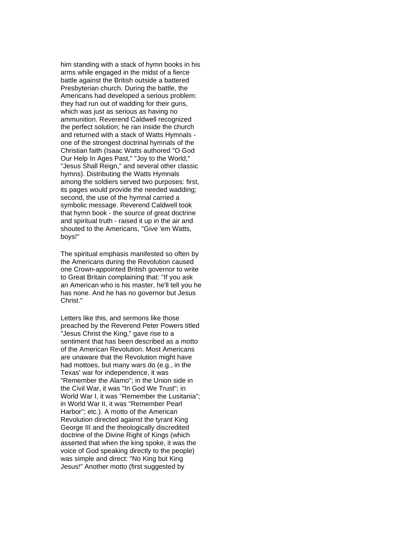him standing with a stack of hymn books in his arms while engaged in the midst of a fierce battle against the British outside a battered Presbyterian church. During the battle, the Americans had developed a serious problem: they had run out of wadding for their guns, which was just as serious as having no ammunition. Reverend Caldwell recognized the perfect solution; he ran inside the church and returned with a stack of Watts Hymnals one of the strongest doctrinal hymnals of the Christian faith (Isaac Watts authored "O God Our Help In Ages Past," "Joy to the World," "Jesus Shall Reign," and several other classic hymns). Distributing the Watts Hymnals among the soldiers served two purposes: first, its pages would provide the needed wadding; second, the use of the hymnal carried a symbolic message. Reverend Caldwell took that hymn book - the source of great doctrine and spiritual truth - raised it up in the air and shouted to the Americans, "Give 'em Watts, boys!"

The spiritual emphasis manifested so often by the Americans during the Revolution caused one Crown-appointed British governor to write to Great Britain complaining that: "If you ask an American who is his master, he'll tell you he has none. And he has no governor but Jesus Christ."

Letters like this, and sermons like those preached by the Reverend Peter Powers titled "Jesus Christ the King," gave rise to a sentiment that has been described as a motto of the American Revolution. Most Americans are unaware that the Revolution might have had mottoes, but many wars do (e.g., in the Texas' war for independence, it was "Remember the Alamo"; in the Union side in the Civil War, it was "In God We Trust"; in World War I, it was "Remember the Lusitania"; in World War II, it was "Remember Pearl Harbor"; etc.). A motto of the American Revolution directed against the tyrant King George III and the theologically discredited doctrine of the Divine Right of Kings (which asserted that when the king spoke, it was the voice of God speaking directly to the people) was simple and direct: "No King but King Jesus!" Another motto (first suggested by